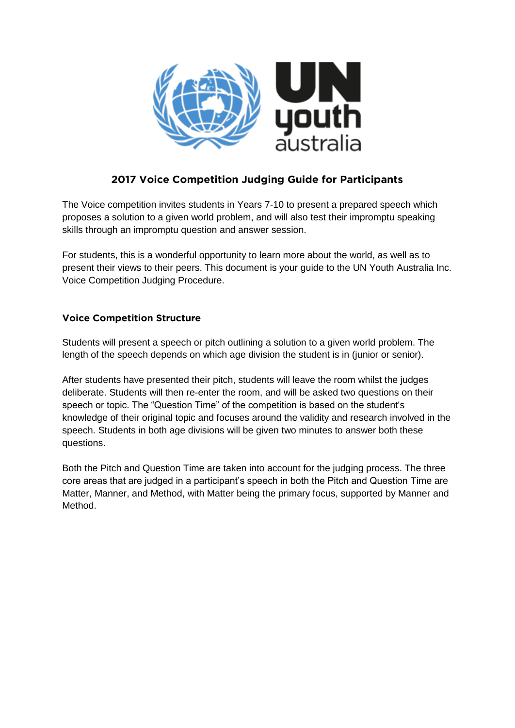

# **2017 Voice Competition Judging Guide for Participants**

The Voice competition invites students in Years 7-10 to present a prepared speech which proposes a solution to a given world problem, and will also test their impromptu speaking skills through an impromptu question and answer session.

For students, this is a wonderful opportunity to learn more about the world, as well as to present their views to their peers. This document is your guide to the UN Youth Australia Inc. Voice Competition Judging Procedure.

## **Voice Competition Structure**

Students will present a speech or pitch outlining a solution to a given world problem. The length of the speech depends on which age division the student is in (junior or senior).

After students have presented their pitch, students will leave the room whilst the judges deliberate. Students will then re-enter the room, and will be asked two questions on their speech or topic. The "Question Time" of the competition is based on the student's knowledge of their original topic and focuses around the validity and research involved in the speech. Students in both age divisions will be given two minutes to answer both these questions.

Both the Pitch and Question Time are taken into account for the judging process. The three core areas that are judged in a participant's speech in both the Pitch and Question Time are Matter, Manner, and Method, with Matter being the primary focus, supported by Manner and Method.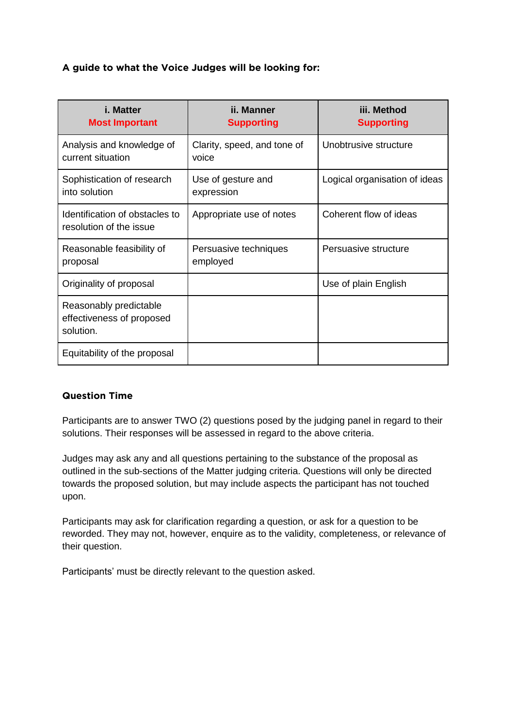## **A guide to what the Voice Judges will be looking for:**

| <i>i.</i> Matter<br><b>Most Important</b>                        | ii. Manner<br><b>Supporting</b>      | iii. Method<br><b>Supporting</b> |
|------------------------------------------------------------------|--------------------------------------|----------------------------------|
| Analysis and knowledge of<br>current situation                   | Clarity, speed, and tone of<br>voice | Unobtrusive structure            |
| Sophistication of research<br>into solution                      | Use of gesture and<br>expression     | Logical organisation of ideas    |
| Identification of obstacles to<br>resolution of the issue        | Appropriate use of notes             | Coherent flow of ideas           |
| Reasonable feasibility of<br>proposal                            | Persuasive techniques<br>employed    | Persuasive structure             |
| Originality of proposal                                          |                                      | Use of plain English             |
| Reasonably predictable<br>effectiveness of proposed<br>solution. |                                      |                                  |
| Equitability of the proposal                                     |                                      |                                  |

#### **Question Time**

Participants are to answer TWO (2) questions posed by the judging panel in regard to their solutions. Their responses will be assessed in regard to the above criteria.

Judges may ask any and all questions pertaining to the substance of the proposal as outlined in the sub-sections of the Matter judging criteria. Questions will only be directed towards the proposed solution, but may include aspects the participant has not touched upon.

Participants may ask for clarification regarding a question, or ask for a question to be reworded. They may not, however, enquire as to the validity, completeness, or relevance of their question.

Participants' must be directly relevant to the question asked.